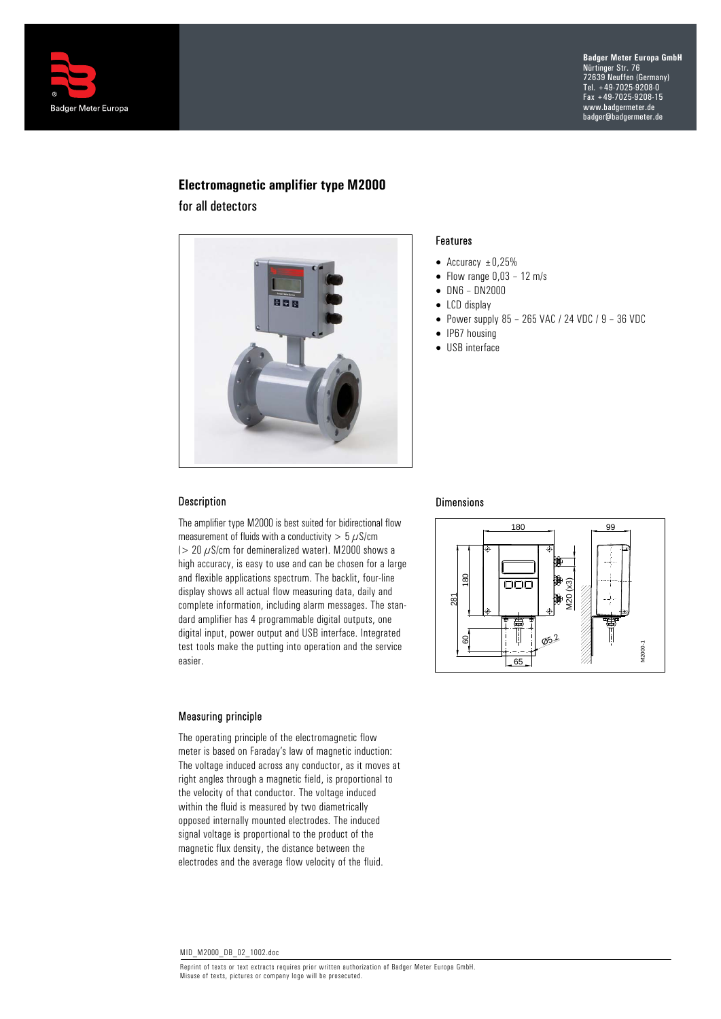

# **Electromagnetic amplifier type M2000**

for all detectors



#### Features

- Accuracy  $\pm 0.25\%$
- $\bullet$  Flow range  $0,03 12$  m/s
- DN6 DN2000
- LCD display
- Power supply  $85 265$  VAC / 24 VDC /  $9 36$  VDC
- IP67 housing
- USB interface

## Description

The amplifier type M2000 is best suited for bidirectional flow measurement of fluids with a conductivity  $> 5 \mu$ S/cm ( $> 20 \mu$ S/cm for demineralized water). M2000 shows a high accuracy, is easy to use and can be chosen for a large and flexible applications spectrum. The backlit, four-line display shows all actual flow measuring data, daily and complete information, including alarm messages. The standard amplifier has 4 programmable digital outputs, one digital input, power output and USB interface. Integrated test tools make the putting into operation and the service easier.

#### Measuring principle

The operating principle of the electromagnetic flow meter is based on Faraday's law of magnetic induction: The voltage induced across any conductor, as it moves at right angles through a magnetic field, is proportional to the velocity of that conductor. The voltage induced within the fluid is measured by two diametrically opposed internally mounted electrodes. The induced signal voltage is proportional to the product of the magnetic flux density, the distance between the electrodes and the average flow velocity of the fluid.

# Dimensions

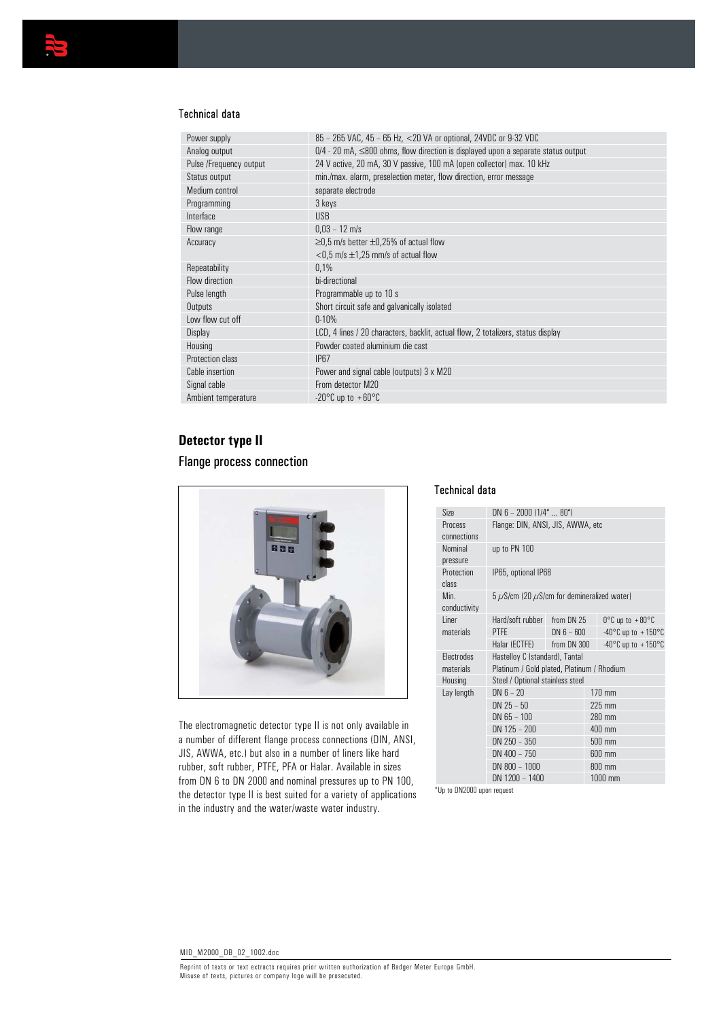

### Technical data

| Power supply            | 85 - 265 VAC, 45 - 65 Hz, <20 VA or optional, 24VDC or 9-32 VDC                           |
|-------------------------|-------------------------------------------------------------------------------------------|
| Analog output           | $0/4$ - 20 mA, $\leq$ 800 ohms, flow direction is displayed upon a separate status output |
| Pulse /Frequency output | 24 V active, 20 mA, 30 V passive, 100 mA (open collector) max. 10 kHz                     |
| Status output           | min./max. alarm, preselection meter, flow direction, error message                        |
| Medium control          | separate electrode                                                                        |
| Programming             | 3 keys                                                                                    |
| Interface               | <b>USB</b>                                                                                |
| Flow range              | $0.03 - 12$ m/s                                                                           |
| Accuracy                | $\geq$ 0,5 m/s better $\pm$ 0,25% of actual flow                                          |
|                         | $<$ 0.5 m/s $\pm$ 1.25 mm/s of actual flow                                                |
| Repeatability           | 0,1%                                                                                      |
| Flow direction          | bi-directional                                                                            |
| Pulse length            | Programmable up to 10 s                                                                   |
| Outputs                 | Short circuit safe and galvanically isolated                                              |
| Low flow cut off        | $0 - 10%$                                                                                 |
| Display                 | LCD, 4 lines / 20 characters, backlit, actual flow, 2 totalizers, status display          |
| Housing                 | Powder coated aluminium die cast                                                          |
| Protection class        | <b>IP67</b>                                                                               |
| Cable insertion         | Power and signal cable (outputs) 3 x M20                                                  |
| Signal cable            | From detector M20                                                                         |
| Ambient temperature     | -20°C up to $+60$ °C                                                                      |

## **Detector type II**

## Flange process connection



The electromagnetic detector type II is not only available in a number of different flange process connections (DIN, ANSI, JIS, AWWA, etc.) but also in a number of liners like hard rubber, soft rubber, PTFE, PFA or Halar. Available in sizes from DN 6 to DN 2000 and nominal pressures up to PN 100, the detector type II is best suited for a variety of applications in the industry and the water/waste water industry.

## Technical data

| Size                           | $DN 6 - 2000 (1/4"  80")$                                                    |              |                  |                                        |  |
|--------------------------------|------------------------------------------------------------------------------|--------------|------------------|----------------------------------------|--|
| Process<br>connections         | Flange: DIN, ANSI, JIS, AWWA, etc.                                           |              |                  |                                        |  |
| Nominal<br>pressure            | up to PN 100                                                                 |              |                  |                                        |  |
| Protection<br>class            | IP65, optional IP68                                                          |              |                  |                                        |  |
| Min.<br>conductivity           | $5 \mu$ S/cm (20 $\mu$ S/cm for demineralized water)                         |              |                  |                                        |  |
| <b>l</b> iner                  | Hard/soft rubber                                                             | from DN 25   |                  | $0^{\circ}$ C up to $+80^{\circ}$ C    |  |
| materials                      | <b>PTFE</b>                                                                  | $DN 6 - 600$ |                  | $-40^{\circ}$ C up to $+150^{\circ}$ C |  |
|                                | Halar (ECTFE)                                                                | from DN 300  |                  | $-40^{\circ}$ C up to $+150^{\circ}$ C |  |
| <b>Flectrodes</b><br>materials | Hastelloy C (standard), Tantal<br>Platinum / Gold plated, Platinum / Rhodium |              |                  |                                        |  |
| Housing                        | Steel / Optional stainless steel                                             |              |                  |                                        |  |
| Lay length                     | $DN 6 - 20$                                                                  |              |                  | $170 \text{ mm}$                       |  |
|                                | $DN 25 - 50$                                                                 |              | $225 \text{ mm}$ |                                        |  |
|                                | $DN$ 65 - 100                                                                |              |                  | 280 mm                                 |  |
|                                | DN 125 - 200                                                                 |              | 400 mm           |                                        |  |
|                                | DN 250 - 350                                                                 |              | 500 mm           |                                        |  |
|                                | DN 400 - 750                                                                 |              | 600 mm           |                                        |  |
|                                | DN 800 - 1000                                                                |              | 800 mm           |                                        |  |
|                                | DN 1200 - 1400                                                               |              |                  | 1000 mm                                |  |
|                                |                                                                              |              |                  |                                        |  |

\*Up to DN2000 upon request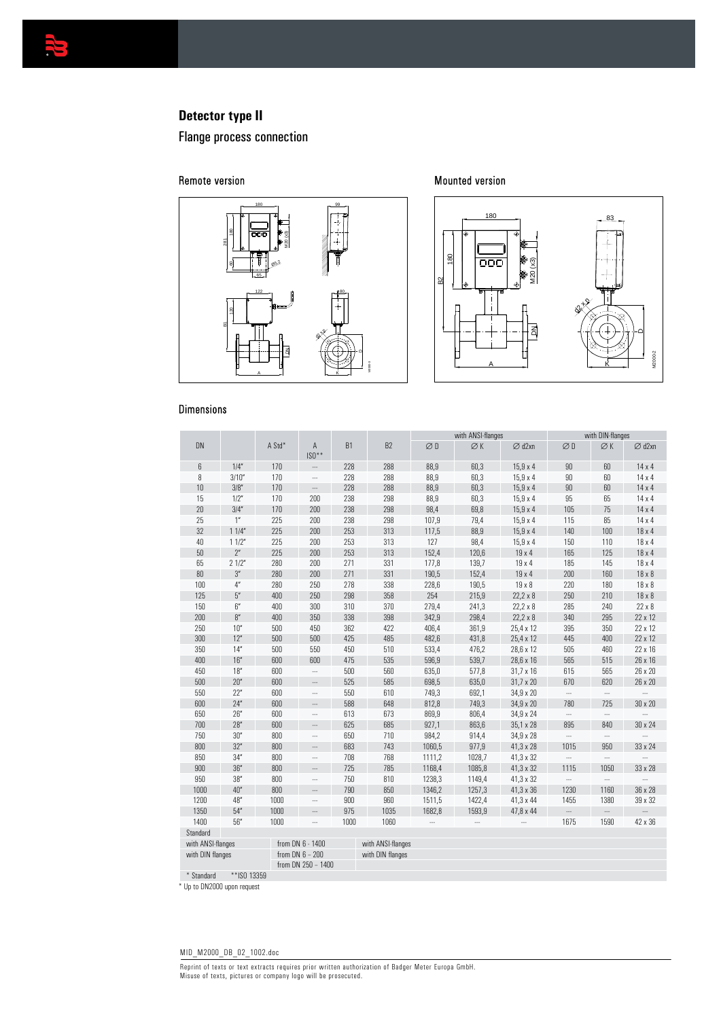

# **Detector type II**

Flange process connection

#### Remote version



Mounted version



## Dimensions

|                                       |                                       |        |                          |                   |                  | with ANSI-flanges |                 |                    | with DIN-flanges         |           |                          |
|---------------------------------------|---------------------------------------|--------|--------------------------|-------------------|------------------|-------------------|-----------------|--------------------|--------------------------|-----------|--------------------------|
| <b>DN</b>                             |                                       | A Std* | Α<br>$IS0**$             | <b>B1</b>         | B <sub>2</sub>   | ØD                | $\varnothing$ K | $\varnothing$ d2xn | ØD                       | ØK        | $\varnothing$ d2xn       |
| 6                                     | 1/4''                                 | 170    |                          | 228               | 288              | 88,9              | 60,3            | $15,9 \times 4$    | 90                       | 60        | $14 \times 4$            |
| 8                                     | 3/10''                                | 170    |                          | 228               | 288              | 88,9              | 60,3            | $15,9 \times 4$    | 90                       | 60        | $14 \times 4$            |
| 10                                    | 3/8''                                 | 170    |                          | 228               | 288              | 88,9              | 60,3            | $15.9 \times 4$    | 90                       | 60        | $14 \times 4$            |
| 15                                    | 1/2"                                  | 170    | 200                      | 238               | 298              | 88,9              | 60,3            | $15,9 \times 4$    | 95                       | 65        | $14 \times 4$            |
| $20\,$                                | 3/4''                                 | 170    | 200                      | 238               | 298              | 98,4              | 69,8            | $15,9 \times 4$    | 105                      | 75        | 14 x 4                   |
| 25                                    | 1 <sup>n</sup>                        | 225    | 200                      | 238               | 298              | 107,9             | 79,4            | $15.9 \times 4$    | 115                      | 85        | $14 \times 4$            |
| 32                                    | 11/4"                                 | 225    | 200                      | 253               | 313              | 117,5             | 88,9            | $15,9 \times 4$    | 140                      | 100       | 18 x 4                   |
| 40                                    | 11/2"                                 | 225    | 200                      | 253               | 313              | 127               | 98,4            | $15,9 \times 4$    | 150                      | 110       | $18 \times 4$            |
| 50                                    | 2 <sup>n</sup>                        | 225    | 200                      | 253               | 313              | 152,4             | 120,6           | $19 \times 4$      | 165                      | 125       | $18 \times 4$            |
| 65                                    | 21/2"                                 | 280    | 200                      | 271               | 331              | 177,8             | 139,7           | 19 x 4             | 185                      | 145       | 18 x 4                   |
| 80                                    | 3''                                   | 280    | 200                      | 271               | 331              | 190,5             | 152,4           | $19 \times 4$      | 200                      | 160       | $18 \times 8$            |
| 100                                   | $4''$                                 | 280    | 250                      | 278               | 338              | 228,6             | 190,5           | $19 \times 8$      | 220                      | 180       | $18 \times 8$            |
| 125                                   | $5^{\prime\prime}$                    | 400    | 250                      | 298               | 358              | 254               | 215,9           | $22,2 \times 8$    | 250                      | 210       | $18 \times 8$            |
| 150                                   | $6''$                                 | 400    | 300                      | 310               | 370              | 279,4             | 241,3           | $22.2 \times 8$    | 285                      | 240       | $22 \times 8$            |
| 200                                   | $\mathsf{8}''$                        | 400    | 350                      | 338               | 398              | 342,9             | 298,4           | $22,2 \times 8$    | 340                      | 295       | 22 x 12                  |
| 250                                   | 10''                                  | 500    | 450                      | 362               | 422              | 406,4             | 361,9           | 25,4 x 12          | 395                      | 350       | 22 x 12                  |
| 300                                   | 12"                                   | 500    | 500                      | 425               | 485              | 482,6             | 431,8           | 25,4 x 12          | 445                      | 400       | 22 x 12                  |
| 350                                   | 14''                                  | 500    | 550                      | 450               | 510              | 533,4             | 476,2           | 28,6 x 12          | 505                      | 460       | 22 x 16                  |
| 400                                   | 16''                                  | 600    | 600                      | 475               | 535              | 596,9             | 539,7           | 28,6 x 16          | 565                      | 515       | 26 x 16                  |
| 450                                   | 18''                                  | 600    | $\overline{\phantom{a}}$ | 500               | 560              | 635,0             | 577,8           | $31,7 \times 16$   | 615                      | 565       | 26 x 20                  |
| 500                                   | 20"                                   | 600    | $\overline{a}$           | 525               | 585              | 698,5             | 635,0           | 31,7 x 20          | 670                      | 620       | 26 x 20                  |
| 550                                   | 22"                                   | 600    | $\overline{\phantom{a}}$ | 550               | 610              | 749,3             | 692,1           | 34,9 x 20          |                          | $\ddotsc$ | $\ldots$                 |
| 600                                   | 24''                                  | 600    |                          | 588               | 648              | 812,8             | 749,3           | 34,9 x 20          | 780                      | 725       | 30 x 20                  |
| 650                                   | 26''                                  | 600    |                          | 613               | 673              | 869,9             | 806,4           | 34,9 x 24          | $\ddotsc$                |           |                          |
| 700                                   | 28''                                  | 600    |                          | 625               | 685              | 927,1             | 863,6           | 35,1 x 28          | 895                      | 840       | 30 x 24                  |
| 750                                   | 30''                                  | 800    |                          | 650               | 710              | 984,2             | 914,4           | 34,9 x 28          |                          | $\cdots$  |                          |
| 800                                   | 32"                                   | 800    |                          | 683               | 743              | 1060,5            | 977,9           | 41,3 x 28          | 1015                     | 950       | 33 x 24                  |
| 850                                   | 34''                                  | 800    |                          | 708               | 768              | 1111,2            | 1028,7          | 41,3 x 32          |                          | $\cdots$  | $\ddot{\phantom{a}}$     |
| 900                                   | 36''                                  | 800    |                          | 725               | 785              | 1168,4            | 1085,8          | 41,3 x 32          | 1115                     | 1050      | 33 x 28                  |
| 950                                   | 38''                                  | 800    |                          | 750               | 810              | 1238,3            | 1149,4          | 41,3 x 32          | $\ddotsc$                |           |                          |
| 1000                                  | 40''                                  | 800    |                          | 790               | 850              | 1346,2            | 1257,3          | 41,3 x 36          | 1230                     | 1160      | 36 x 28                  |
| 1200                                  | 48"                                   | 1000   |                          | 900               | 960              | 1511,5            | 1422,4          | 41,3 x 44          | 1455                     | 1380      | 39 x 32                  |
| 1350                                  | 54''                                  | 1000   | $\overline{\phantom{a}}$ | 975               | 1035             | 1682,8            | 1593,9          | 47,8 x 44          | $\overline{\phantom{a}}$ | Ξ.        | $\overline{\phantom{a}}$ |
| 1400                                  | 56''                                  | 1000   |                          | 1000              | 1060             |                   | $\ddotsc$       |                    | 1675                     | 1590      | 42 x 36                  |
| Standard                              |                                       |        |                          |                   |                  |                   |                 |                    |                          |           |                          |
| from DN 6 - 1400<br>with ANSI-flanges |                                       |        |                          | with ANSI-flanges |                  |                   |                 |                    |                          |           |                          |
|                                       | from DN $6 - 200$<br>with DIN flanges |        |                          |                   | with DIN flanges |                   |                 |                    |                          |           |                          |
|                                       |                                       |        | from DN 250 - 1400       |                   |                  |                   |                 |                    |                          |           |                          |

\* Standard \*\*ISO 13359

\* Up to DN2000 upon request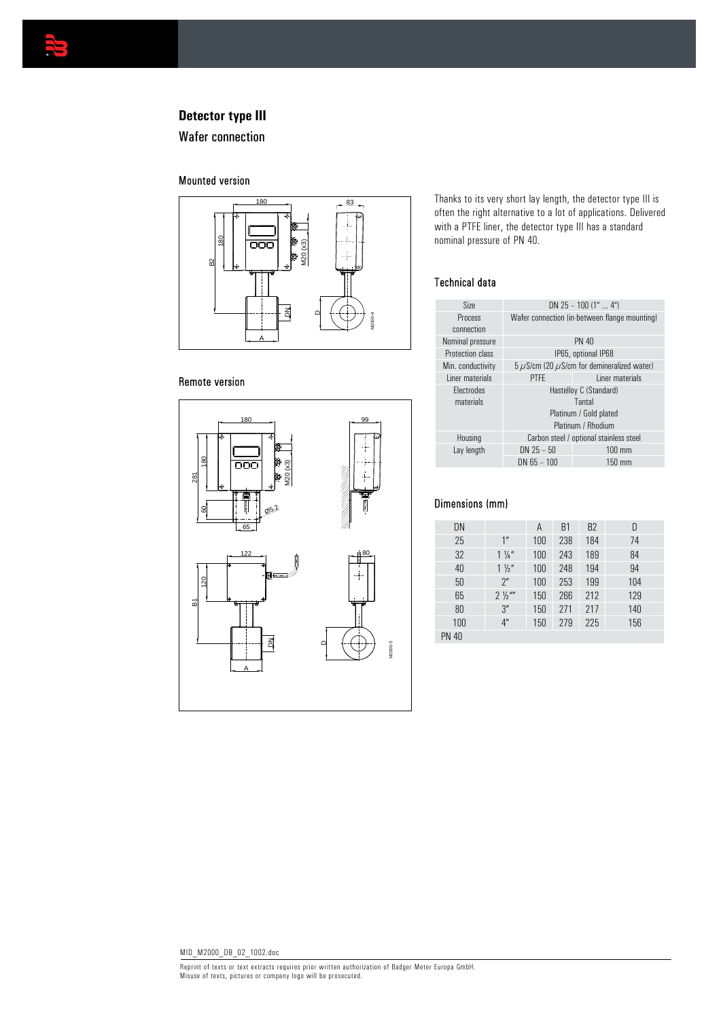

# **Detector type III**

Wafer connection

## Mounted version



## Remote version



Thanks to its very short lay length, the detector type III is often the right alternative to a lot of applications. Delivered with a PTFE liner, the detector type III has a standard nominal pressure of PN 40.

### Technical data

| Size                           | DN 25 - 100 $(1"  4")$                                                           |                     |  |  |  |
|--------------------------------|----------------------------------------------------------------------------------|---------------------|--|--|--|
| Process<br>connection          | Wafer connection (in between flange mounting)                                    |                     |  |  |  |
| Nominal pressure               |                                                                                  | <b>PN 40</b>        |  |  |  |
| <b>Protection class</b>        |                                                                                  | IP65, optional IP68 |  |  |  |
| Min. conductivity              | $5 \mu$ S/cm (20 $\mu$ S/cm for demineralized water)                             |                     |  |  |  |
| Liner materials                | <b>PTFF</b>                                                                      | Liner materials     |  |  |  |
| <b>Flectrodes</b><br>materials | Hastelloy C (Standard)<br>Tantal<br>Platinum / Gold plated<br>Platinum / Rhodium |                     |  |  |  |
| Housing                        | Carbon steel / optional stainless steel                                          |                     |  |  |  |
| Lay length                     | $DN 25 - 50$                                                                     | $100 \text{ mm}$    |  |  |  |
|                                | $DN$ 65 – 100                                                                    | $150 \text{ mm}$    |  |  |  |
|                                |                                                                                  |                     |  |  |  |

### Dimensions (mm)

| DN           |                 | A   | <b>B1</b> | B2  | D   |
|--------------|-----------------|-----|-----------|-----|-----|
| 25           | 1 <sup>''</sup> | 100 | 238       | 184 | 74  |
| 32           | $1\frac{1}{4}$  | 100 | 243       | 189 | 84  |
| 40           | $1\frac{1}{2}$  | 100 | 248       | 194 | 94  |
| 50           | 2 <sup>n</sup>  | 100 | 253       | 199 | 104 |
| 65           | $2\frac{1}{2}$  | 150 | 266       | 212 | 129 |
| 80           | 3''             | 150 | 271       | 217 | 140 |
| 100          | 4 <sup>''</sup> | 150 | 279       | 225 | 156 |
| <b>PN 40</b> |                 |     |           |     |     |
|              |                 |     |           |     |     |

Reprint of texts or text extracts requires prior written authorization of Badger Meter Europa GmbH. Misuse of texts, pictures or company logo will be prosecuted.